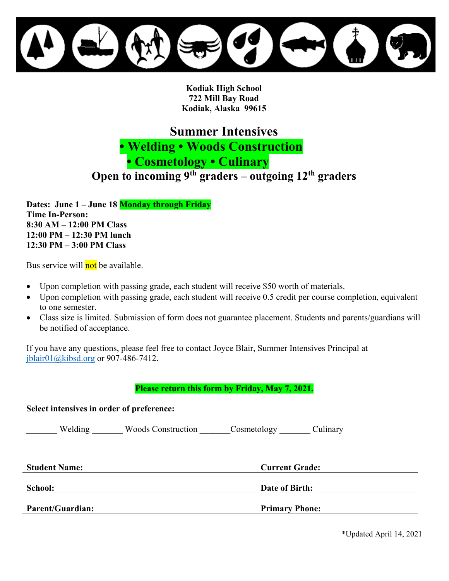**Kodiak High School 722 Mill Bay Road Kodiak, Alaska 99615** 

**Summer Intensives** 

 **• Welding • Woods Construction** 

**• Cosmetology • Culinary** 

**Open to incoming 9th graders – outgoing 12th graders**

**Dates: June 1 – June 18 Monday through Friday Time In-Person: 8:30 AM – 12:00 PM Class 12:00 PM – 12:30 PM lunch 12:30 PM – 3:00 PM Class**

Bus service will not be available.

- Upon completion with passing grade, each student will receive \$50 worth of materials.
- Upon completion with passing grade, each student will receive 0.5 credit per course completion, equivalent to one semester.
- Class size is limited. Submission of form does not guarantee placement. Students and parents/guardians will be notified of acceptance.

If you have any questions, please feel free to contact Joyce Blair, Summer Intensives Principal at [jblair01@kibsd.org](mailto:jblair01@kibsd.org) or 907-486-7412.

**Please return this form by Friday, May 7, 2021.** 

**Select intensives in order of preference:**  Welding Woods Construction Cosmetology Culinary **Student Name: Current Grade: School: Date of Birth: Parent/Guardian: Primary Phone:**

\*Updated April 14, 2021